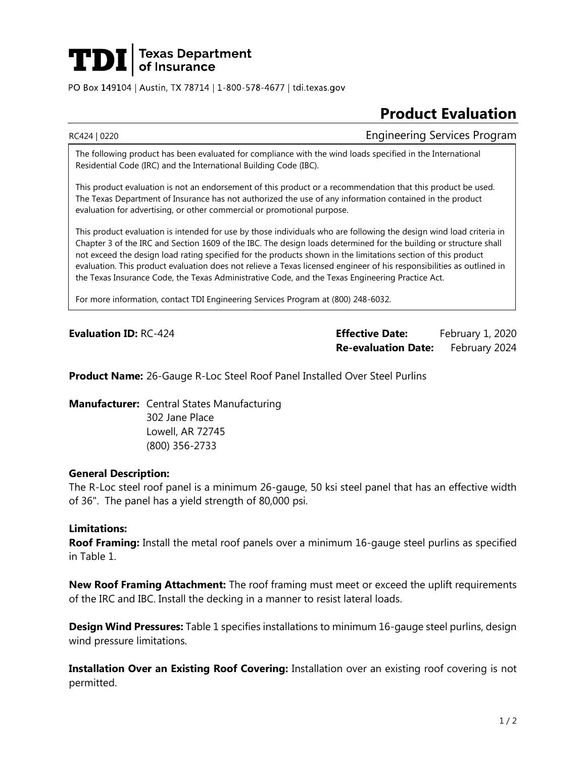# $\left|\mathbf{T}\mathbf{D}\mathbf{I}\right|$  Texas Department

PO Box 149104 | Austin, TX 78714 | 1-800-578-4677 | tdi.texas.gov

## **Product Evaluation**

RC424 | 0220 **Engineering Services Program** 

The following product has been evaluated for compliance with the wind loads specified in the International Residential Code (IRC) and the International Building Code (IBC).

This product evaluation is not an endorsement of this product or a recommendation that this product be used. The Texas Department of Insurance has not authorized the use of any information contained in the product evaluation for advertising, or other commercial or promotional purpose.

This product evaluation is intended for use by those individuals who are following the design wind load criteria in Chapter 3 of the IRC and Section 1609 of the IBC. The design loads determined for the building or structure shall not exceed the design load rating specified for the products shown in the limitations section of this product evaluation. This product evaluation does not relieve a Texas licensed engineer of his responsibilities as outlined in the Texas Insurance Code, the Texas Administrative Code, and the Texas Engineering Practice Act.

For more information, contact TDI Engineering Services Program at (800) 248-6032.

**Evaluation ID:** RC-424 **Effective Date:** February 1, 2020 **Re-evaluation Date:** February 2024

**Product Name:** 26-Gauge R-Loc Steel Roof Panel Installed Over Steel Purlins

**Manufacturer:** Central States Manufacturing

302 Jane Place Lowell, AR 72745 (800) 356-2733

#### **General Description:**

The R-Loc steel roof panel is a minimum 26-gauge, 50 ksi steel panel that has an effective width of 36". The panel has a yield strength of 80,000 psi.

#### **Limitations:**

**Roof Framing:** Install the metal roof panels over a minimum 16-gauge steel purlins as specified in Table 1.

**New Roof Framing Attachment:** The roof framing must meet or exceed the uplift requirements of the IRC and IBC. Install the decking in a manner to resist lateral loads.

**Design Wind Pressures:** Table 1 specifies installations to minimum 16-gauge steel purlins, design wind pressure limitations.

**Installation Over an Existing Roof Covering:** Installation over an existing roof covering is not permitted.